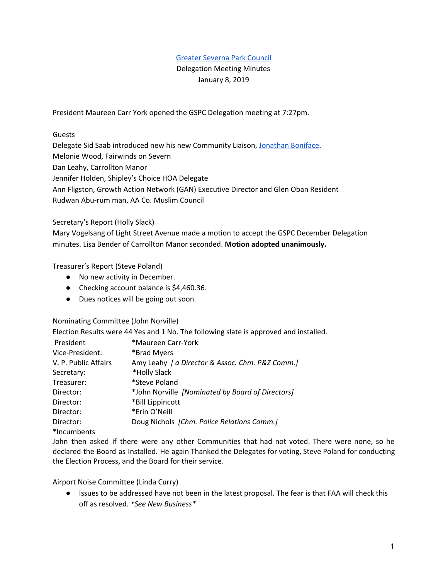## Greater [Severna](http://www.gspcouncil.org/) Park Council

## Delegation Meeting Minutes January 8, 2019

President Maureen Carr York opened the GSPC Delegation meeting at 7:27pm.

Guests

Delegate Sid Saab introduced new his new Community Liaison, [Jonathan](https://www.jonathanboniface.com/) Boniface. Melonie Wood, Fairwinds on Severn Dan Leahy, Carrollton Manor Jennifer Holden, Shipley's Choice HOA Delegate Ann Fligston, Growth Action Network (GAN) Executive Director and Glen Oban Resident Rudwan Abu-rum man, AA Co. Muslim Council

Secretary's Report (Holly Slack)

Mary Vogelsang of Light Street Avenue made a motion to accept the GSPC December Delegation minutes. Lisa Bender of Carrollton Manor seconded. **Motion adopted unanimously.**

## Treasurer's Report (Steve Poland)

- No new activity in December.
- Checking account balance is \$4,460.36.
- Dues notices will be going out soon.

Nominating Committee (John Norville)

Election Results were 44 Yes and 1 No. The following slate is approved and installed.

| President            | *Maureen Carr-York                               |
|----------------------|--------------------------------------------------|
| Vice-President:      | *Brad Myers                                      |
| V. P. Public Affairs | Amy Leahy   a Director & Assoc. Chm. P&Z Comm.]  |
| Secretary:           | *Holly Slack                                     |
| Treasurer:           | *Steve Poland                                    |
| Director:            | *John Norville [Nominated by Board of Directors] |
| Director:            | *Bill Lippincott                                 |
| Director:            | *Erin O'Neill                                    |
| Director:            | Doug Nichols [Chm. Police Relations Comm.]       |
| *Incumbents          |                                                  |

John then asked if there were any other Communities that had not voted. There were none, so he declared the Board as Installed. He again Thanked the Delegates for voting, Steve Poland for conducting the Election Process, and the Board for their service.

Airport Noise Committee (Linda Curry)

● Issues to be addressed have not been in the latest proposal. The fear is that FAA will check this off as resolved. *\*See New Business\**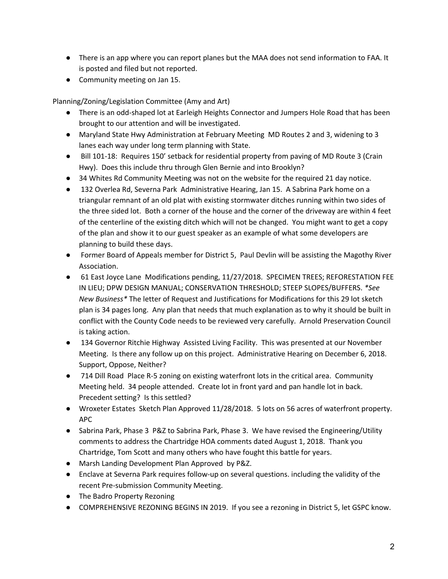- There is an app where you can report planes but the MAA does not send information to FAA. It is posted and filed but not reported.
- Community meeting on Jan 15.

Planning/Zoning/Legislation Committee (Amy and Art)

- There is an odd-shaped lot at Earleigh Heights Connector and Jumpers Hole Road that has been brought to our attention and will be investigated.
- Maryland State Hwy Administration at February Meeting MD Routes 2 and 3, widening to 3 lanes each way under long term planning with State.
- Bill 101-18: Requires 150' setback for residential property from paving of MD Route 3 (Crain Hwy). Does this include thru through Glen Bernie and into Brooklyn?
- 34 Whites Rd Community Meeting was not on the website for the required 21 day notice.
- 132 Overlea Rd, Severna Park Administrative Hearing, Jan 15. A Sabrina Park home on a triangular remnant of an old plat with existing stormwater ditches running within two sides of the three sided lot. Both a corner of the house and the corner of the driveway are within 4 feet of the centerline of the existing ditch which will not be changed. You might want to get a copy of the plan and show it to our guest speaker as an example of what some developers are planning to build these days.
- Former Board of Appeals member for District 5, Paul Devlin will be assisting the Magothy River Association.
- 61 East Joyce Lane Modifications pending, 11/27/2018. SPECIMEN TREES; REFORESTATION FEE IN LIEU; DPW DESIGN MANUAL; CONSERVATION THRESHOLD; STEEP SLOPES/BUFFERS. *\*See New Business\** The letter of Request and Justifications for Modifications for this 29 lot sketch plan is 34 pages long. Any plan that needs that much explanation as to why it should be built in conflict with the County Code needs to be reviewed very carefully. Arnold Preservation Council is taking action.
- 134 Governor Ritchie Highway Assisted Living Facility. This was presented at our November Meeting. Is there any follow up on this project. Administrative Hearing on December 6, 2018. Support, Oppose, Neither?
- 714 Dill Road Place R-5 zoning on existing waterfront lots in the critical area. Community Meeting held. 34 people attended. Create lot in front yard and pan handle lot in back. Precedent setting? Is this settled?
- Wroxeter Estates Sketch Plan Approved 11/28/2018. 5 lots on 56 acres of waterfront property. APC
- Sabrina Park, Phase 3 P&Z to Sabrina Park, Phase 3. We have revised the Engineering/Utility comments to address the Chartridge HOA comments dated August 1, 2018. Thank you Chartridge, Tom Scott and many others who have fought this battle for years.
- Marsh Landing Development Plan Approved by P&Z.
- Enclave at Severna Park requires follow-up on several questions. including the validity of the recent Pre-submission Community Meeting.
- The Badro Property Rezoning
- COMPREHENSIVE REZONING BEGINS IN 2019. If you see a rezoning in District 5, let GSPC know.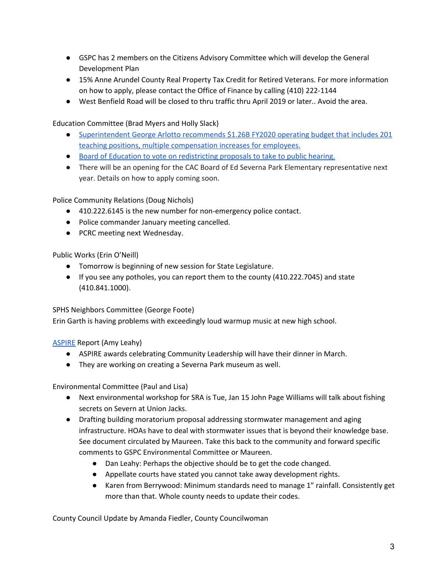- GSPC has 2 members on the Citizens Advisory Committee which will develop the General Development Plan
- 15% Anne Arundel County Real Property Tax Credit for Retired Veterans. For more information on how to apply, please contact the Office of Finance by calling (410) 222-1144
- West Benfield Road will be closed to thru traffic thru April 2019 or later.. Avoid the area.

Education Committee (Brad Myers and Holly Slack)

- [Superintendent](http://aacpsschools.org/pressr/?p=4649) George Arlotto recommends \$1.26B FY2020 operating budget that includes 201 teaching positions, multiple [compensation](http://aacpsschools.org/pressr/?p=4649) increases for employees.
- Board of Education to vote on [redistricting](http://aacpsschools.org/pressr/?p=4666) proposals to take to public hearing.
- There will be an opening for the CAC Board of Ed Severna Park Elementary representative next year. Details on how to apply coming soon.

Police Community Relations (Doug Nichols)

- 410.222.6145 is the new number for non-emergency police contact.
- Police commander January meeting cancelled.
- PCRC meeting next Wednesday.

Public Works (Erin O'Neill)

- Tomorrow is beginning of new session for State Legislature.
- If you see any potholes, you can report them to the county (410.222.7045) and state (410.841.1000).

SPHS Neighbors Committee (George Foote)

Erin Garth is having problems with exceedingly loud warmup music at new high school.

[ASPIRE](http://severnaparkaspire.com/) Report (Amy Leahy)

- ASPIRE awards celebrating Community Leadership will have their dinner in March.
- They are working on creating a Severna Park museum as well.

Environmental Committee (Paul and Lisa)

- Next environmental workshop for SRA is Tue, Jan 15 John Page Williams will talk about fishing secrets on Severn at Union Jacks.
- Drafting building moratorium proposal addressing stormwater management and aging infrastructure. HOAs have to deal with stormwater issues that is beyond their knowledge base. See document circulated by Maureen. Take this back to the community and forward specific comments to GSPC Environmental Committee or Maureen.
	- Dan Leahy: Perhaps the objective should be to get the code changed.
	- Appellate courts have stated you cannot take away development rights.
	- Karen from Berrywood: Minimum standards need to manage 1" rainfall. Consistently get more than that. Whole county needs to update their codes.

County Council Update by Amanda Fiedler, County Councilwoman